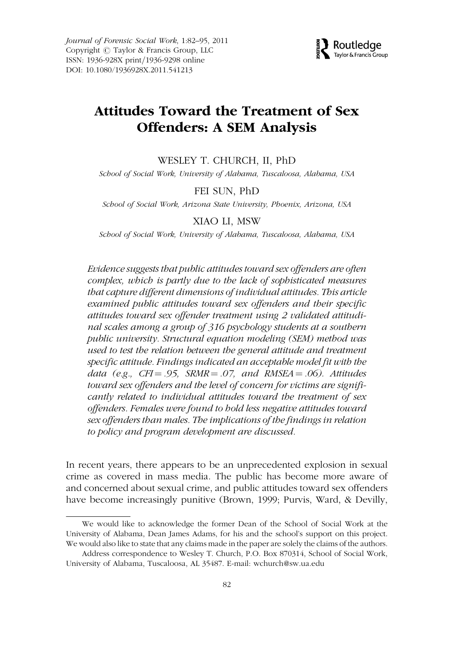

# Attitudes Toward the Treatment of Sex Offenders: A SEM Analysis

## WESLEY T. CHURCH, II, PhD

School of Social Work, University of Alabama, Tuscaloosa, Alabama, USA

#### FEI SUN, PhD

School of Social Work, Arizona State University, Phoenix, Arizona, USA

#### XIAO LI, MSW

School of Social Work, University of Alabama, Tuscaloosa, Alabama, USA

Evidence suggests that public attitudes toward sex offenders are often complex, which is partly due to the lack of sophisticated measures that capture different dimensions of individual attitudes. This article examined public attitudes toward sex offenders and their specific attitudes toward sex offender treatment using 2 validated attitudinal scales among a group of 316 psychology students at a southern public university. Structural equation modeling (SEM) method was used to test the relation between the general attitude and treatment specific attitude. Findings indicated an acceptable model fit with the data (e.g.,  $CFI = .95$ ,  $SRMR = .07$ , and  $RMSEA = .06$ ). Attitudes toward sex offenders and the level of concern for victims are significantly related to individual attitudes toward the treatment of sex offenders. Females were found to hold less negative attitudes toward sex offenders than males. The implications of the findings in relation to policy and program development are discussed.

In recent years, there appears to be an unprecedented explosion in sexual crime as covered in mass media. The public has become more aware of and concerned about sexual crime, and public attitudes toward sex offenders have become increasingly punitive (Brown, 1999; Purvis, Ward, & Devilly,

We would like to acknowledge the former Dean of the School of Social Work at the University of Alabama, Dean James Adams, for his and the school's support on this project. We would also like to state that any claims made in the paper are solely the claims of the authors.

Address correspondence to Wesley T. Church, P.O. Box 870314, School of Social Work, University of Alabama, Tuscaloosa, AL 35487. E-mail: wchurch@sw.ua.edu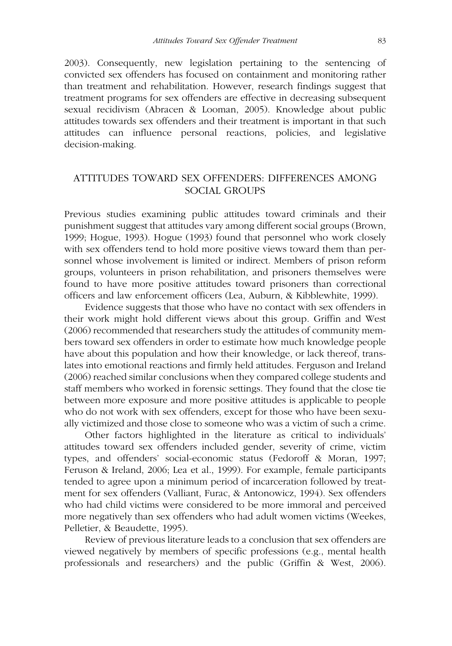2003). Consequently, new legislation pertaining to the sentencing of convicted sex offenders has focused on containment and monitoring rather than treatment and rehabilitation. However, research findings suggest that treatment programs for sex offenders are effective in decreasing subsequent sexual recidivism (Abracen & Looman, 2005). Knowledge about public attitudes towards sex offenders and their treatment is important in that such attitudes can influence personal reactions, policies, and legislative decision-making.

# ATTITUDES TOWARD SEX OFFENDERS: DIFFERENCES AMONG SOCIAL GROUPS

Previous studies examining public attitudes toward criminals and their punishment suggest that attitudes vary among different social groups (Brown, 1999; Hogue, 1993). Hogue (1993) found that personnel who work closely with sex offenders tend to hold more positive views toward them than personnel whose involvement is limited or indirect. Members of prison reform groups, volunteers in prison rehabilitation, and prisoners themselves were found to have more positive attitudes toward prisoners than correctional officers and law enforcement officers (Lea, Auburn, & Kibblewhite, 1999).

Evidence suggests that those who have no contact with sex offenders in their work might hold different views about this group. Griffin and West (2006) recommended that researchers study the attitudes of community members toward sex offenders in order to estimate how much knowledge people have about this population and how their knowledge, or lack thereof, translates into emotional reactions and firmly held attitudes. Ferguson and Ireland (2006) reached similar conclusions when they compared college students and staff members who worked in forensic settings. They found that the close tie between more exposure and more positive attitudes is applicable to people who do not work with sex offenders, except for those who have been sexually victimized and those close to someone who was a victim of such a crime.

Other factors highlighted in the literature as critical to individuals' attitudes toward sex offenders included gender, severity of crime, victim types, and offenders' social-economic status (Fedoroff & Moran, 1997; Feruson & Ireland, 2006; Lea et al., 1999). For example, female participants tended to agree upon a minimum period of incarceration followed by treatment for sex offenders (Valliant, Furac, & Antonowicz, 1994). Sex offenders who had child victims were considered to be more immoral and perceived more negatively than sex offenders who had adult women victims (Weekes, Pelletier, & Beaudette, 1995).

Review of previous literature leads to a conclusion that sex offenders are viewed negatively by members of specific professions (e.g., mental health professionals and researchers) and the public (Griffin & West, 2006).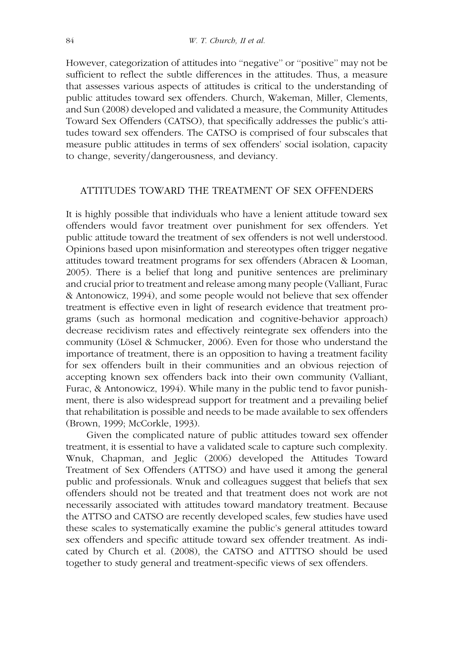However, categorization of attitudes into ''negative'' or ''positive'' may not be sufficient to reflect the subtle differences in the attitudes. Thus, a measure that assesses various aspects of attitudes is critical to the understanding of public attitudes toward sex offenders. Church, Wakeman, Miller, Clements, and Sun (2008) developed and validated a measure, the Community Attitudes Toward Sex Offenders (CATSO), that specifically addresses the public's attitudes toward sex offenders. The CATSO is comprised of four subscales that measure public attitudes in terms of sex offenders' social isolation, capacity to change, severity/dangerousness, and deviancy.

# ATTITUDES TOWARD THE TREATMENT OF SEX OFFENDERS

It is highly possible that individuals who have a lenient attitude toward sex offenders would favor treatment over punishment for sex offenders. Yet public attitude toward the treatment of sex offenders is not well understood. Opinions based upon misinformation and stereotypes often trigger negative attitudes toward treatment programs for sex offenders (Abracen & Looman, 2005). There is a belief that long and punitive sentences are preliminary and crucial prior to treatment and release among many people (Valliant, Furac & Antonowicz, 1994), and some people would not believe that sex offender treatment is effective even in light of research evidence that treatment programs (such as hormonal medication and cognitive-behavior approach) decrease recidivism rates and effectively reintegrate sex offenders into the community (Lösel & Schmucker, 2006). Even for those who understand the importance of treatment, there is an opposition to having a treatment facility for sex offenders built in their communities and an obvious rejection of accepting known sex offenders back into their own community (Valliant, Furac, & Antonowicz, 1994). While many in the public tend to favor punishment, there is also widespread support for treatment and a prevailing belief that rehabilitation is possible and needs to be made available to sex offenders (Brown, 1999; McCorkle, 1993).

Given the complicated nature of public attitudes toward sex offender treatment, it is essential to have a validated scale to capture such complexity. Wnuk, Chapman, and Jeglic (2006) developed the Attitudes Toward Treatment of Sex Offenders (ATTSO) and have used it among the general public and professionals. Wnuk and colleagues suggest that beliefs that sex offenders should not be treated and that treatment does not work are not necessarily associated with attitudes toward mandatory treatment. Because the ATTSO and CATSO are recently developed scales, few studies have used these scales to systematically examine the public's general attitudes toward sex offenders and specific attitude toward sex offender treatment. As indicated by Church et al. (2008), the CATSO and ATTTSO should be used together to study general and treatment-specific views of sex offenders.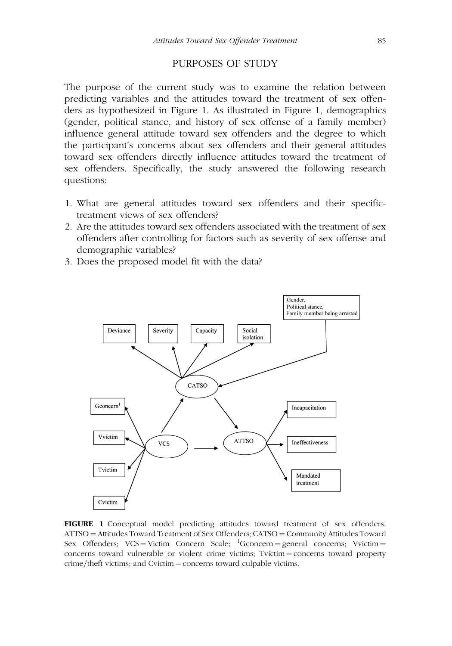## PURPOSES OF STUDY

The purpose of the current study was to examine the relation between predicting variables and the attitudes toward the treatment of sex offenders as hypothesized in Figure 1. As illustrated in Figure 1, demographics (gender, political stance, and history of sex offense of a family member) influence general attitude toward sex offenders and the degree to which the participant's concerns about sex offenders and their general attitudes toward sex offenders directly influence attitudes toward the treatment of sex offenders. Specifically, the study answered the following research questions:

- 1. What are general attitudes toward sex offenders and their specifictreatment views of sex offenders?
- 2. Are the attitudes toward sex offenders associated with the treatment of sex offenders after controlling for factors such as severity of sex offense and demographic variables?
- 3. Does the proposed model fit with the data?



FIGURE 1 Conceptual model predicting attitudes toward treatment of sex offenders. ATTSO = Attitudes Toward Treatment of Sex Offenders; CATSO = Community Attitudes Toward Sex Offenders; VCS = Victim Concern Scale;  ${}^{1}$ Gconcern = general concerns; Vvictim = concerns toward vulnerable or violent crime victims; Tvictim = concerns toward property  $c$ rime/theft victims; and Cvictim = concerns toward culpable victims.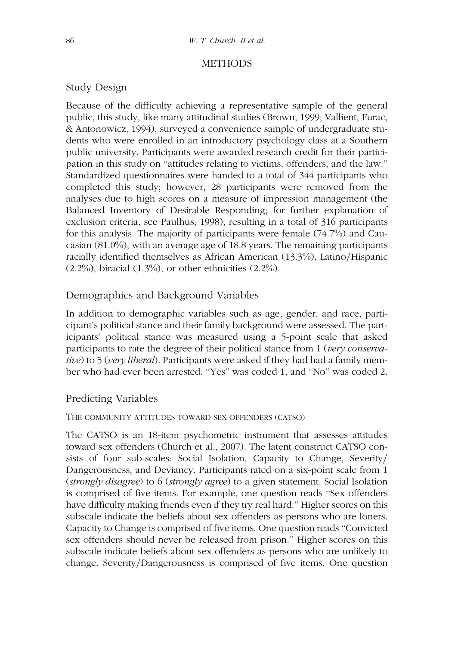## **METHODS**

## Study Design

Because of the difficulty achieving a representative sample of the general public, this study, like many attitudinal studies (Brown, 1999; Vallient, Furac, & Antonowicz, 1994), surveyed a convenience sample of undergraduate students who were enrolled in an introductory psychology class at a Southern public university. Participants were awarded research credit for their participation in this study on ''attitudes relating to victims, offenders, and the law.'' Standardized questionnaires were handed to a total of 344 participants who completed this study; however, 28 participants were removed from the analyses due to high scores on a measure of impression management (the Balanced Inventory of Desirable Responding; for further explanation of exclusion criteria, see Paulhus, 1998), resulting in a total of 316 participants for this analysis. The majority of participants were female (74.7%) and Caucasian (81.0%), with an average age of 18.8 years. The remaining participants racially identified themselves as African American  $(13.3\%)$ , Latino/Hispanic  $(2.2\%)$ , biracial  $(1.3\%)$ , or other ethnicities  $(2.2\%)$ .

## Demographics and Background Variables

In addition to demographic variables such as age, gender, and race, participant's political stance and their family background were assessed. The participants' political stance was measured using a 5-point scale that asked participants to rate the degree of their political stance from 1 (very conservative) to 5 (very liberal). Participants were asked if they had had a family member who had ever been arrested. ''Yes'' was coded 1, and ''No'' was coded 2.

## Predicting Variables

#### THE COMMUNITY ATTITUDES TOWARD SEX OFFENDERS (CATSO)

The CATSO is an 18-item psychometric instrument that assesses attitudes toward sex offenders (Church et al., 2007). The latent construct CATSO consists of four sub-scales: Social Isolation, Capacity to Change, Severity/ Dangerousness, and Deviancy. Participants rated on a six-point scale from 1 (strongly disagree) to 6 (strongly agree) to a given statement. Social Isolation is comprised of five items. For example, one question reads ''Sex offenders have difficulty making friends even if they try real hard.'' Higher scores on this subscale indicate the beliefs about sex offenders as persons who are loners. Capacity to Change is comprised of five items. One question reads ''Convicted sex offenders should never be released from prison.'' Higher scores on this subscale indicate beliefs about sex offenders as persons who are unlikely to change. Severity/Dangerousness is comprised of five items. One question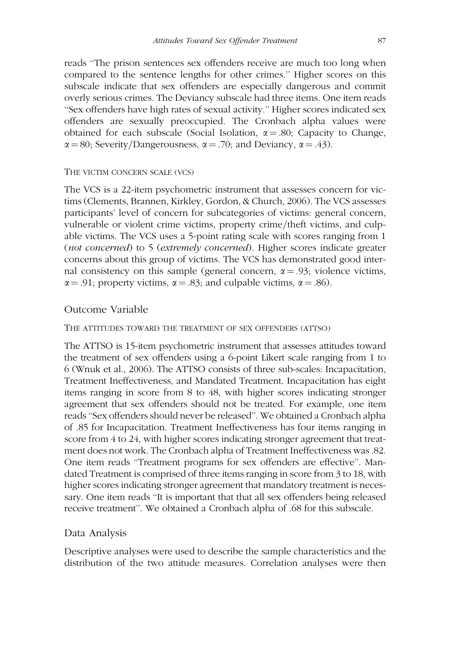reads ''The prison sentences sex offenders receive are much too long when compared to the sentence lengths for other crimes.'' Higher scores on this subscale indicate that sex offenders are especially dangerous and commit overly serious crimes. The Deviancy subscale had three items. One item reads ''Sex offenders have high rates of sexual activity.'' Higher scores indicated sex offenders are sexually preoccupied. The Cronbach alpha values were obtained for each subscale (Social Isolation,  $\alpha = .80$ ; Capacity to Change,  $\alpha = 80$ ; Severity/Dangerousness,  $\alpha = .70$ ; and Deviancy,  $\alpha = .43$ ).

#### THE VICTIM CONCERN SCALE (VCS)

The VCS is a 22-item psychometric instrument that assesses concern for victims (Clements, Brannen, Kirkley, Gordon, & Church, 2006). The VCS assesses participants' level of concern for subcategories of victims: general concern, vulnerable or violent crime victims, property crime/theft victims, and culpable victims. The VCS uses a 5-point rating scale with scores ranging from 1 (not concerned) to 5 (extremely concerned). Higher scores indicate greater concerns about this group of victims. The VCS has demonstrated good internal consistency on this sample (general concern,  $\alpha = .93$ ; violence victims,  $\alpha$  = .91; property victims,  $\alpha$  = .83; and culpable victims,  $\alpha$  = .86).

## Outcome Variable

THE ATTITUDES TOWARD THE TREATMENT OF SEX OFFENDERS (ATTSO)

The ATTSO is 15-item psychometric instrument that assesses attitudes toward the treatment of sex offenders using a 6-point Likert scale ranging from 1 to 6 (Wnuk et al., 2006). The ATTSO consists of three sub-scales: Incapacitation, Treatment Ineffectiveness, and Mandated Treatment. Incapacitation has eight items ranging in score from 8 to 48, with higher scores indicating stronger agreement that sex offenders should not be treated. For example, one item reads ''Sex offenders should never be released''. We obtained a Cronbach alpha of .85 for Incapacitation. Treatment Ineffectiveness has four items ranging in score from 4 to 24, with higher scores indicating stronger agreement that treatment does not work. The Cronbach alpha of Treatment Ineffectiveness was .82. One item reads ''Treatment programs for sex offenders are effective''. Mandated Treatment is comprised of three items ranging in score from 3 to 18, with higher scores indicating stronger agreement that mandatory treatment is necessary. One item reads ''It is important that that all sex offenders being released receive treatment''. We obtained a Cronbach alpha of .68 for this subscale.

#### Data Analysis

Descriptive analyses were used to describe the sample characteristics and the distribution of the two attitude measures. Correlation analyses were then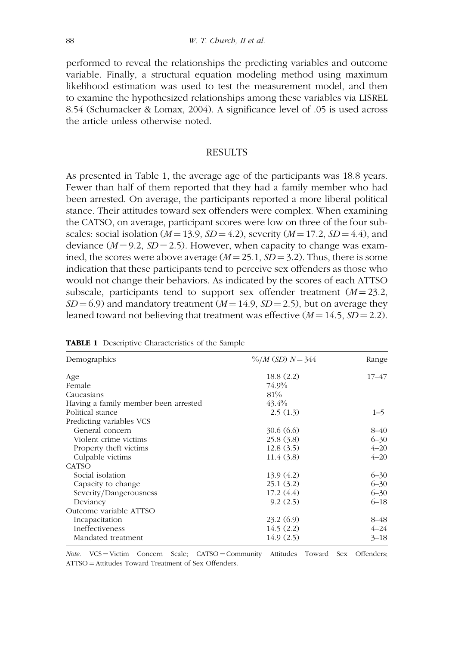performed to reveal the relationships the predicting variables and outcome variable. Finally, a structural equation modeling method using maximum likelihood estimation was used to test the measurement model, and then to examine the hypothesized relationships among these variables via LISREL 8.54 (Schumacker & Lomax, 2004). A significance level of .05 is used across the article unless otherwise noted.

## RESULTS

As presented in Table 1, the average age of the participants was 18.8 years. Fewer than half of them reported that they had a family member who had been arrested. On average, the participants reported a more liberal political stance. Their attitudes toward sex offenders were complex. When examining the CATSO, on average, participant scores were low on three of the four subscales: social isolation ( $M = 13.9$ ,  $SD = 4.2$ ), severity ( $M = 17.2$ ,  $SD = 4.4$ ), and deviance  $(M = 9.2, SD = 2.5)$ . However, when capacity to change was examined, the scores were above average  $(M = 25.1, SD = 3.2)$ . Thus, there is some indication that these participants tend to perceive sex offenders as those who would not change their behaviors. As indicated by the scores of each ATTSO subscale, participants tend to support sex offender treatment  $(M = 23.2,$  $SD = 6.9$ ) and mandatory treatment ( $M = 14.9$ ,  $SD = 2.5$ ), but on average they leaned toward not believing that treatment was effective  $(M = 14.5, SD = 2.2)$ .

| Demographics                         | $\frac{\%}{M}$ (SD) N = 344 | Range    |
|--------------------------------------|-----------------------------|----------|
| Age                                  | 18.8(2.2)                   | 17–47    |
| Female                               | 74.9%                       |          |
| Caucasians                           | 81%                         |          |
| Having a family member been arrested | 43.4%                       |          |
| Political stance                     | 2.5(1.3)                    | $1 - 5$  |
| Predicting variables VCS             |                             |          |
| General concern                      | 30.6(6.6)                   | $8 - 40$ |
| Violent crime victims                | 25.8(3.8)                   | $6 - 30$ |
| Property theft victims               | 12.8(3.5)                   | $4 - 20$ |
| Culpable victims                     | 11.4(3.8)                   | $4 - 20$ |
| <b>CATSO</b>                         |                             |          |
| Social isolation                     | 13.9(4.2)                   | $6 - 30$ |
| Capacity to change                   | 25.1(3.2)                   | $6 - 30$ |
| Severity/Dangerousness               | 17.2(4.4)                   | $6 - 30$ |
| Deviancy                             | 9.2(2.5)                    | $6 - 18$ |
| Outcome variable ATTSO               |                             |          |
| Incapacitation                       | 23.2(6.9)                   | 8–48     |
| Ineffectiveness                      | 14.5(2.2)                   | $4 - 24$ |
| Mandated treatment                   | 14.9(2.5)                   | $3 - 18$ |

TABLE 1 Descriptive Characteristics of the Sample

 $Note. VCS = Victim$  Concern Scale;  $CATSO = \text{Community}$  Attitudes Toward Sex Offenders; ATTSO = Attitudes Toward Treatment of Sex Offenders.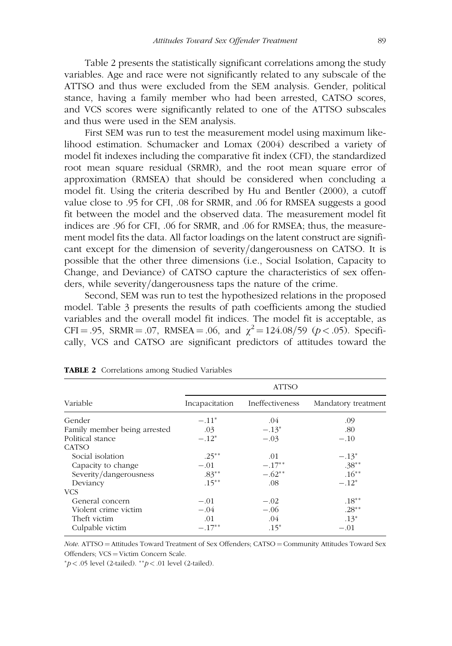Table 2 presents the statistically significant correlations among the study variables. Age and race were not significantly related to any subscale of the ATTSO and thus were excluded from the SEM analysis. Gender, political stance, having a family member who had been arrested, CATSO scores, and VCS scores were significantly related to one of the ATTSO subscales and thus were used in the SEM analysis.

First SEM was run to test the measurement model using maximum likelihood estimation. Schumacker and Lomax (2004) described a variety of model fit indexes including the comparative fit index (CFI), the standardized root mean square residual (SRMR), and the root mean square error of approximation (RMSEA) that should be considered when concluding a model fit. Using the criteria described by Hu and Bentler (2000), a cutoff value close to .95 for CFI, .08 for SRMR, and .06 for RMSEA suggests a good fit between the model and the observed data. The measurement model fit indices are .96 for CFI, .06 for SRMR, and .06 for RMSEA; thus, the measurement model fits the data. All factor loadings on the latent construct are significant except for the dimension of severity/dangerousness on CATSO. It is possible that the other three dimensions (i.e., Social Isolation, Capacity to Change, and Deviance) of CATSO capture the characteristics of sex offenders, while severity/dangerousness taps the nature of the crime.

Second, SEM was run to test the hypothesized relations in the proposed model. Table 3 presents the results of path coefficients among the studied variables and the overall model fit indices. The model fit is acceptable, as CFI = .95, SRMR = .07, RMSEA = .06, and  $\gamma^2 = 124.08/59$  ( $p < .05$ ). Specifically, VCS and CATSO are significant predictors of attitudes toward the

|                              | <b>ATTSO</b>   |                 |                     |
|------------------------------|----------------|-----------------|---------------------|
| Variable                     | Incapacitation | Ineffectiveness | Mandatory treatment |
| Gender                       | $-.11*$        | .04             | .09                 |
| Family member being arrested | .03            | $-.13*$         | .80                 |
| Political stance             | $-.12*$        | $-.03$          | $-.10$              |
| <b>CATSO</b>                 |                |                 |                     |
| Social isolation             | $.25***$       | .01             | $-.13*$             |
| Capacity to change           | $-.01$         | $-.17**$        | $.38**$             |
| Severity/dangerousness       | $.83**$        | $-.62**$        | $.16***$            |
| Deviancy                     | $.15***$       | .08             | $-.12*$             |
| <b>VCS</b>                   |                |                 |                     |
| General concern              | $-.01$         | $-.02$          | $.18***$            |
| Violent crime victim         | $-.04$         | $-.06$          | $.28**$             |
| Theft victim                 | .01            | .04             | $.13*$              |
| Culpable victim              | $-.17**$       | $.15*$          | $-.01$              |

TABLE 2 Correlations among Studied Variables

Note. ATTSO = Attitudes Toward Treatment of Sex Offenders; CATSO = Community Attitudes Toward Sex Offenders; VCS = Victim Concern Scale.

 $p < .05$  level (2-tailed).  $* p < .01$  level (2-tailed).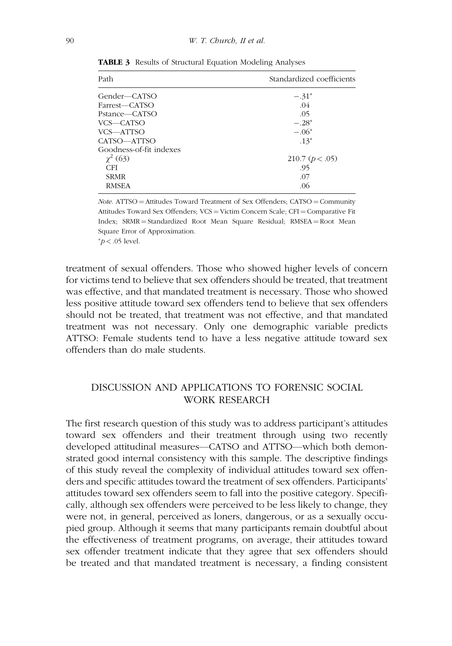| Path                    | Standardized coefficients |  |
|-------------------------|---------------------------|--|
| Gender-CATSO            | $-.31*$                   |  |
| Farrest-CATSO           | .04                       |  |
| Pstance-CATSO           | .05                       |  |
| VCS—CATSO               | $-.28*$                   |  |
| VCS—ATTSO               | $-.06*$                   |  |
| CATSO-ATTSO             | $.13*$                    |  |
| Goodness-of-fit indexes |                           |  |
| $\chi^2$ (63)           | 210.7 $(p < .05)$         |  |
| CFI                     | .95                       |  |
| <b>SRMR</b>             | .07                       |  |
| <b>RMSEA</b>            | -06                       |  |

TABLE 3 Results of Structural Equation Modeling Analyses

 $Note. ATTSO = Attitudes Toward Treatment of Sex Offenders; CATSO = Community$ Attitudes Toward Sex Offenders; VCS = Victim Concern Scale; CFI = Comparative Fit Index; SRMR = Standardized Root Mean Square Residual; RMSEA = Root Mean Square Error of Approximation.

 $p < .05$  level.

treatment of sexual offenders. Those who showed higher levels of concern for victims tend to believe that sex offenders should be treated, that treatment was effective, and that mandated treatment is necessary. Those who showed less positive attitude toward sex offenders tend to believe that sex offenders should not be treated, that treatment was not effective, and that mandated treatment was not necessary. Only one demographic variable predicts ATTSO: Female students tend to have a less negative attitude toward sex offenders than do male students.

# DISCUSSION AND APPLICATIONS TO FORENSIC SOCIAL WORK RESEARCH

The first research question of this study was to address participant's attitudes toward sex offenders and their treatment through using two recently developed attitudinal measures—CATSO and ATTSO—which both demonstrated good internal consistency with this sample. The descriptive findings of this study reveal the complexity of individual attitudes toward sex offenders and specific attitudes toward the treatment of sex offenders. Participants' attitudes toward sex offenders seem to fall into the positive category. Specifically, although sex offenders were perceived to be less likely to change, they were not, in general, perceived as loners, dangerous, or as a sexually occupied group. Although it seems that many participants remain doubtful about the effectiveness of treatment programs, on average, their attitudes toward sex offender treatment indicate that they agree that sex offenders should be treated and that mandated treatment is necessary, a finding consistent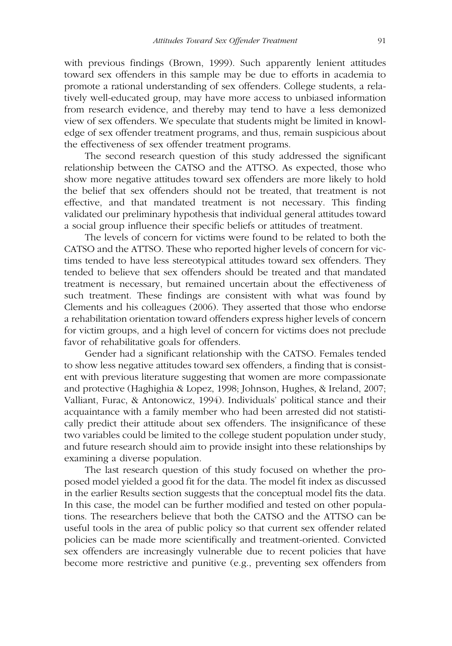with previous findings (Brown, 1999). Such apparently lenient attitudes toward sex offenders in this sample may be due to efforts in academia to promote a rational understanding of sex offenders. College students, a relatively well-educated group, may have more access to unbiased information from research evidence, and thereby may tend to have a less demonized view of sex offenders. We speculate that students might be limited in knowledge of sex offender treatment programs, and thus, remain suspicious about the effectiveness of sex offender treatment programs.

The second research question of this study addressed the significant relationship between the CATSO and the ATTSO. As expected, those who show more negative attitudes toward sex offenders are more likely to hold the belief that sex offenders should not be treated, that treatment is not effective, and that mandated treatment is not necessary. This finding validated our preliminary hypothesis that individual general attitudes toward a social group influence their specific beliefs or attitudes of treatment.

The levels of concern for victims were found to be related to both the CATSO and the ATTSO. These who reported higher levels of concern for victims tended to have less stereotypical attitudes toward sex offenders. They tended to believe that sex offenders should be treated and that mandated treatment is necessary, but remained uncertain about the effectiveness of such treatment. These findings are consistent with what was found by Clements and his colleagues (2006). They asserted that those who endorse a rehabilitation orientation toward offenders express higher levels of concern for victim groups, and a high level of concern for victims does not preclude favor of rehabilitative goals for offenders.

Gender had a significant relationship with the CATSO. Females tended to show less negative attitudes toward sex offenders, a finding that is consistent with previous literature suggesting that women are more compassionate and protective (Haghighia & Lopez, 1998; Johnson, Hughes, & Ireland, 2007; Valliant, Furac, & Antonowicz, 1994). Individuals' political stance and their acquaintance with a family member who had been arrested did not statistically predict their attitude about sex offenders. The insignificance of these two variables could be limited to the college student population under study, and future research should aim to provide insight into these relationships by examining a diverse population.

The last research question of this study focused on whether the proposed model yielded a good fit for the data. The model fit index as discussed in the earlier Results section suggests that the conceptual model fits the data. In this case, the model can be further modified and tested on other populations. The researchers believe that both the CATSO and the ATTSO can be useful tools in the area of public policy so that current sex offender related policies can be made more scientifically and treatment-oriented. Convicted sex offenders are increasingly vulnerable due to recent policies that have become more restrictive and punitive (e.g., preventing sex offenders from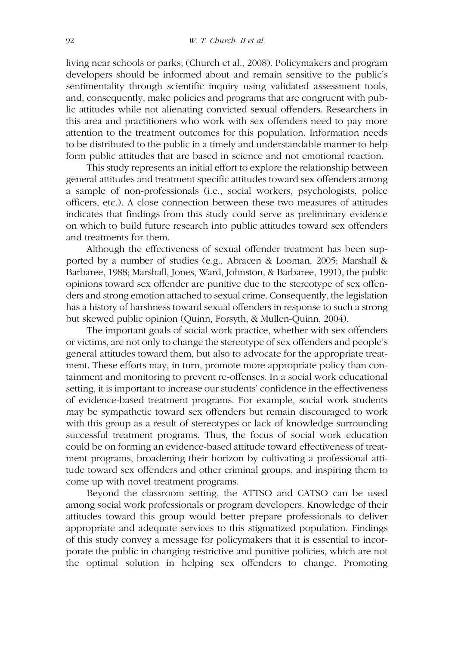living near schools or parks; (Church et al., 2008). Policymakers and program developers should be informed about and remain sensitive to the public's sentimentality through scientific inquiry using validated assessment tools, and, consequently, make policies and programs that are congruent with public attitudes while not alienating convicted sexual offenders. Researchers in this area and practitioners who work with sex offenders need to pay more attention to the treatment outcomes for this population. Information needs to be distributed to the public in a timely and understandable manner to help form public attitudes that are based in science and not emotional reaction.

This study represents an initial effort to explore the relationship between general attitudes and treatment specific attitudes toward sex offenders among a sample of non-professionals (i.e., social workers, psychologists, police officers, etc.). A close connection between these two measures of attitudes indicates that findings from this study could serve as preliminary evidence on which to build future research into public attitudes toward sex offenders and treatments for them.

Although the effectiveness of sexual offender treatment has been supported by a number of studies (e.g., Abracen & Looman, 2005; Marshall & Barbaree, 1988; Marshall, Jones, Ward, Johnston, & Barbaree, 1991), the public opinions toward sex offender are punitive due to the stereotype of sex offenders and strong emotion attached to sexual crime. Consequently, the legislation has a history of harshness toward sexual offenders in response to such a strong but skewed public opinion (Quinn, Forsyth, & Mullen-Quinn, 2004).

The important goals of social work practice, whether with sex offenders or victims, are not only to change the stereotype of sex offenders and people's general attitudes toward them, but also to advocate for the appropriate treatment. These efforts may, in turn, promote more appropriate policy than containment and monitoring to prevent re-offenses. In a social work educational setting, it is important to increase our students' confidence in the effectiveness of evidence-based treatment programs. For example, social work students may be sympathetic toward sex offenders but remain discouraged to work with this group as a result of stereotypes or lack of knowledge surrounding successful treatment programs. Thus, the focus of social work education could be on forming an evidence-based attitude toward effectiveness of treatment programs, broadening their horizon by cultivating a professional attitude toward sex offenders and other criminal groups, and inspiring them to come up with novel treatment programs.

Beyond the classroom setting, the ATTSO and CATSO can be used among social work professionals or program developers. Knowledge of their attitudes toward this group would better prepare professionals to deliver appropriate and adequate services to this stigmatized population. Findings of this study convey a message for policymakers that it is essential to incorporate the public in changing restrictive and punitive policies, which are not the optimal solution in helping sex offenders to change. Promoting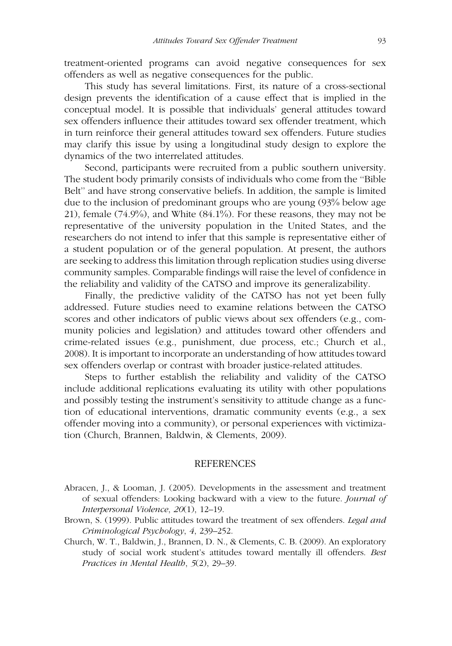treatment-oriented programs can avoid negative consequences for sex offenders as well as negative consequences for the public.

This study has several limitations. First, its nature of a cross-sectional design prevents the identification of a cause effect that is implied in the conceptual model. It is possible that individuals' general attitudes toward sex offenders influence their attitudes toward sex offender treatment, which in turn reinforce their general attitudes toward sex offenders. Future studies may clarify this issue by using a longitudinal study design to explore the dynamics of the two interrelated attitudes.

Second, participants were recruited from a public southern university. The student body primarily consists of individuals who come from the ''Bible Belt'' and have strong conservative beliefs. In addition, the sample is limited due to the inclusion of predominant groups who are young (93% below age 21), female (74.9%), and White (84.1%). For these reasons, they may not be representative of the university population in the United States, and the researchers do not intend to infer that this sample is representative either of a student population or of the general population. At present, the authors are seeking to address this limitation through replication studies using diverse community samples. Comparable findings will raise the level of confidence in the reliability and validity of the CATSO and improve its generalizability.

Finally, the predictive validity of the CATSO has not yet been fully addressed. Future studies need to examine relations between the CATSO scores and other indicators of public views about sex offenders (e.g., community policies and legislation) and attitudes toward other offenders and crime-related issues (e.g., punishment, due process, etc.; Church et al., 2008). It is important to incorporate an understanding of how attitudes toward sex offenders overlap or contrast with broader justice-related attitudes.

Steps to further establish the reliability and validity of the CATSO include additional replications evaluating its utility with other populations and possibly testing the instrument's sensitivity to attitude change as a function of educational interventions, dramatic community events (e.g., a sex offender moving into a community), or personal experiences with victimization (Church, Brannen, Baldwin, & Clements, 2009).

## **REFERENCES**

- Abracen, J., & Looman, J. (2005). Developments in the assessment and treatment of sexual offenders: Looking backward with a view to the future. Journal of Interpersonal Violence, 20(1), 12–19.
- Brown, S. (1999). Public attitudes toward the treatment of sex offenders. Legal and Criminological Psychology, 4, 239–252.
- Church, W. T., Baldwin, J., Brannen, D. N., & Clements, C. B. (2009). An exploratory study of social work student's attitudes toward mentally ill offenders. Best Practices in Mental Health, 5(2), 29–39.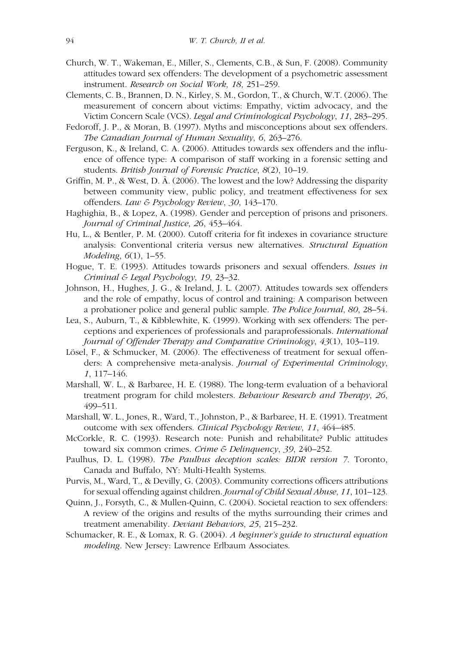- Church, W. T., Wakeman, E., Miller, S., Clements, C.B., & Sun, F. (2008). Community attitudes toward sex offenders: The development of a psychometric assessment instrument. Research on Social Work, 18, 251-259.
- Clements, C. B., Brannen, D. N., Kirley, S. M., Gordon, T., & Church, W.T. (2006). The measurement of concern about victims: Empathy, victim advocacy, and the Victim Concern Scale (VCS). Legal and Criminological Psychology, 11, 283–295.
- Fedoroff, J. P., & Moran, B. (1997). Myths and misconceptions about sex offenders. The Canadian Journal of Human Sexuality, 6, 263–276.
- Ferguson, K., & Ireland, C. A. (2006). Attitudes towards sex offenders and the influence of offence type: A comparison of staff working in a forensic setting and students. British Journal of Forensic Practice, 8(2), 10–19.
- Griffin, M. P., & West, D.  $\tilde{A}$ . (2006). The lowest and the low? Addressing the disparity between community view, public policy, and treatment effectiveness for sex offenders. Law & Psychology Review, 30, 143–170.
- Haghighia, B., & Lopez, A. (1998). Gender and perception of prisons and prisoners. Journal of Criminal Justice, 26, 453–464.
- Hu, L., & Bentler, P. M. (2000). Cutoff criteria for fit indexes in covariance structure analysis: Conventional criteria versus new alternatives. Structural Equation Modeling, 6(1), 1–55.
- Hogue, T. E. (1993). Attitudes towards prisoners and sexual offenders. Issues in Criminal & Legal Psychology, 19, 23–32.
- Johnson, H., Hughes, J. G., & Ireland, J. L. (2007). Attitudes towards sex offenders and the role of empathy, locus of control and training: A comparison between a probationer police and general public sample. The Police Journal, 80, 28–54.
- Lea, S., Auburn, T., & Kibblewhite, K. (1999). Working with sex offenders: The perceptions and experiences of professionals and paraprofessionals. International Journal of Offender Therapy and Comparative Criminology, 43(1), 103–119.
- Lösel, F., & Schmucker, M. (2006). The effectiveness of treatment for sexual offenders: A comprehensive meta-analysis. Journal of Experimental Criminology, 1, 117–146.
- Marshall, W. L., & Barbaree, H. E. (1988). The long-term evaluation of a behavioral treatment program for child molesters. Behaviour Research and Therapy, 26, 499–511.
- Marshall, W. L., Jones, R., Ward, T., Johnston, P., & Barbaree, H. E. (1991). Treatment outcome with sex offenders. Clinical Psychology Review, 11, 464-485.
- McCorkle, R. C. (1993). Research note: Punish and rehabilitate? Public attitudes toward six common crimes. Crime & Delinquency, 39, 240-252.
- Paulhus, D. L. (1998). The Paulhus deception scales: BIDR version 7. Toronto, Canada and Buffalo, NY: Multi-Health Systems.
- Purvis, M., Ward, T., & Devilly, G. (2003). Community corrections officers attributions for sexual offending against children. Journal of Child Sexual Abuse, 11, 101–123.
- Quinn, J., Forsyth, C., & Mullen-Quinn, C. (2004). Societal reaction to sex offenders: A review of the origins and results of the myths surrounding their crimes and treatment amenability. Deviant Behaviors, 25, 215–232.
- Schumacker, R. E., & Lomax, R. G. (2004). A beginner's guide to structural equation modeling. New Jersey: Lawrence Erlbaum Associates.